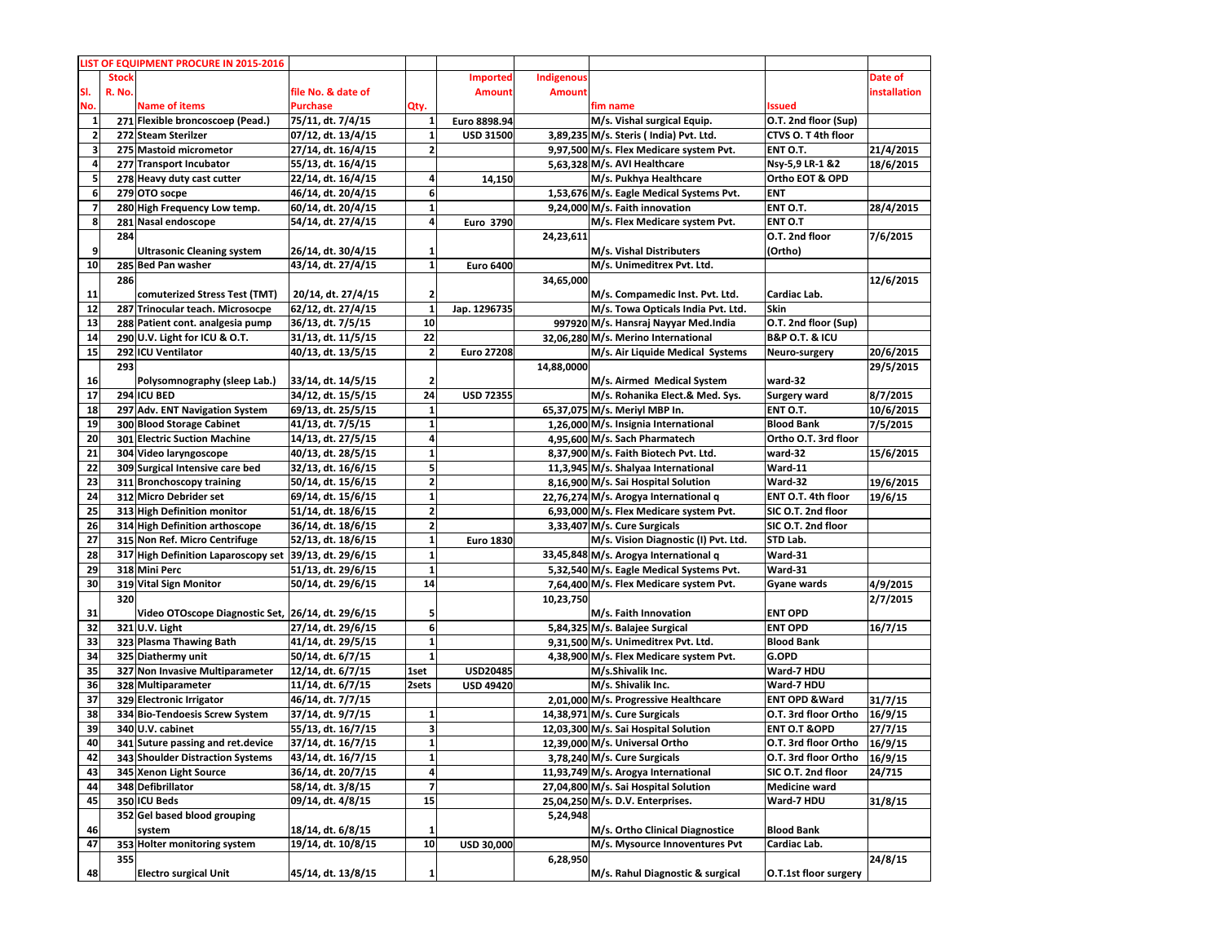|                         |              | LIST OF EQUIPMENT PROCURE IN 2015-2016                 |                                          |                         |                   |               |                                          |                               |                   |
|-------------------------|--------------|--------------------------------------------------------|------------------------------------------|-------------------------|-------------------|---------------|------------------------------------------|-------------------------------|-------------------|
|                         | <b>Stock</b> |                                                        |                                          |                         | Imported          | Indigenous    |                                          |                               | Date of           |
| SI.                     | R. No.       |                                                        | file No. & date of                       |                         | <b>Amount</b>     | <b>Amount</b> |                                          |                               | installation      |
| No.                     |              | <b>Name of items</b>                                   | <b>Purchase</b>                          | Qty.                    |                   |               | fim name                                 | <b>Issued</b>                 |                   |
| $\mathbf{1}$            |              | 271 Flexible broncoscoep (Pead.)                       | 75/11, dt. 7/4/15                        |                         | Euro 8898.94      |               | M/s. Vishal surgical Equip.              | O.T. 2nd floor (Sup)          |                   |
| $\overline{\mathbf{2}}$ |              | 272 Steam Sterilzer                                    | 07/12, dt. 13/4/15                       | $1\overline{ }$         | <b>USD 31500</b>  |               | 3,89,235 M/s. Steris (India) Pvt. Ltd.   | CTVS O. T 4th floor           |                   |
| 3                       |              | 275 Mastoid micrometor                                 | 27/14, dt. 16/4/15                       | $\mathbf{2}$            |                   |               | 9.97.500 M/s. Flex Medicare system Pvt.  | ENT O.T.                      | 21/4/2015         |
| 4                       |              | 277 Transport Incubator                                | 55/13, dt. 16/4/15                       |                         |                   |               | 5.63.328 M/s. AVI Healthcare             | Nsy-5,9 LR-1 &2               | 18/6/2015         |
| 5                       |              | 278 Heavy duty cast cutter                             | 22/14, dt. 16/4/15                       | 4                       | 14,150            |               | M/s. Pukhya Healthcare                   | Ortho EOT & OPD               |                   |
| 6                       |              | 279 OTO socpe                                          | 46/14, dt. 20/4/15                       | 6                       |                   |               | 1,53,676 M/s. Eagle Medical Systems Pvt. | <b>ENT</b>                    |                   |
| $\overline{\mathbf{z}}$ |              | 280 High Frequency Low temp.                           | 60/14, dt. 20/4/15                       | 1                       |                   |               | 9,24,000 M/s. Faith innovation           | ENT O.T.                      | 28/4/2015         |
| 8                       |              | 281 Nasal endoscope                                    | 54/14, dt. 27/4/15                       | $\overline{a}$          | Euro 3790         |               | M/s. Flex Medicare system Pvt.           | ENT O.T                       |                   |
|                         | 284          |                                                        |                                          |                         |                   | 24,23,611     |                                          | O.T. 2nd floor                | 7/6/2015          |
| 9                       |              | <b>Ultrasonic Cleaning system</b>                      | 26/14, dt. 30/4/15                       | 1                       |                   |               | M/s. Vishal Distributers                 | (Ortho)                       |                   |
| 10                      |              | 285 Bed Pan washer                                     | 43/14, dt. 27/4/15                       | $1\overline{ }$         | <b>Euro 6400</b>  |               | M/s. Unimeditrex Pvt. Ltd.               |                               |                   |
|                         | 286          |                                                        |                                          |                         |                   | 34,65,000     |                                          |                               | 12/6/2015         |
| 11                      |              | comuterized Stress Test (TMT)                          | 20/14, dt. 27/4/15                       | $\mathbf{2}$            |                   |               | M/s. Compamedic Inst. Pvt. Ltd.          | Cardiac Lab.                  |                   |
| 12                      |              | 287 Trinocular teach. Microsocpe                       | 62/12, dt. 27/4/15                       | $\mathbf{1}$            | Jap. 1296735      |               | M/s. Towa Opticals India Pvt. Ltd.       | Skin                          |                   |
| 13                      |              | 288 Patient cont. analgesia pump                       | 36/13, dt. 7/5/15                        | 10                      |                   |               | 997920 M/s. Hansraj Nayyar Med.India     | O.T. 2nd floor (Sup)          |                   |
| 14                      |              | 290 U.V. Light for ICU & O.T.                          | 31/13, dt. 11/5/15                       | 22                      |                   |               | 32,06,280 M/s. Merino International      | <b>B&amp;P O.T. &amp; ICU</b> |                   |
| 15                      |              | 292 ICU Ventilator                                     | 40/13, dt. 13/5/15                       | $\mathbf{2}$            | <b>Euro 27208</b> |               | M/s. Air Liquide Medical Systems         | Neuro-surgery                 | 20/6/2015         |
|                         | 293          |                                                        |                                          |                         |                   | 14,88,0000    |                                          |                               | 29/5/2015         |
| 16                      |              | Polysomnography (sleep Lab.)                           | 33/14, dt. 14/5/15                       | $\mathbf{z}$            |                   |               | M/s. Airmed Medical System               | ward-32                       |                   |
| 17                      |              | 294 ICU BED                                            | 34/12, dt. 15/5/15                       | 24                      | <b>USD 72355</b>  |               | M/s. Rohanika Elect.& Med. Sys.          | <b>Surgery ward</b>           | 8/7/2015          |
| 18                      |              | 297 Adv. ENT Navigation System                         | 69/13, dt. 25/5/15                       | $\mathbf{1}$            |                   |               | 65,37,075 M/s. Meriyl MBP In.            | ENT O.T.                      | 10/6/2015         |
| 19                      |              | 300 Blood Storage Cabinet                              | 41/13, dt. 7/5/15                        | $\mathbf{1}$            |                   |               | 1,26,000 M/s. Insignia International     | <b>Blood Bank</b>             | 7/5/2015          |
| 20                      |              | 301 Electric Suction Machine                           | 14/13, dt. 27/5/15                       | 4                       |                   |               | 4,95,600 M/s. Sach Pharmatech            | Ortho O.T. 3rd floor          |                   |
| 21                      |              | 304 Video laryngoscope                                 | 40/13, dt. 28/5/15                       | $\mathbf{1}$            |                   |               | 8,37,900 M/s. Faith Biotech Pvt. Ltd.    | ward-32                       | 15/6/2015         |
| 22                      |              | 309 Surgical Intensive care bed                        | 32/13, dt. 16/6/15                       | 5                       |                   |               | 11.3.945 M/s. Shalyaa International      | Ward-11                       |                   |
| 23                      |              | 311 Bronchoscopy training                              | 50/14, dt. 15/6/15                       | $\mathbf{2}$            |                   |               | 8,16,900 M/s. Sai Hospital Solution      | Ward-32                       | 19/6/2015         |
| 24                      |              | 312 Micro Debrider set                                 | 69/14, dt. 15/6/15                       | $1\overline{ }$         |                   |               | 22,76,274 M/s. Arogya International q    | ENT O.T. 4th floor            | 19/6/15           |
| 25                      |              | 313 High Definition monitor                            | 51/14, dt. 18/6/15                       | $\mathbf{2}$            |                   |               | 6,93,000 M/s. Flex Medicare system Pvt.  | SIC O.T. 2nd floor            |                   |
| 26                      |              | 314 High Definition arthoscope                         | 36/14, dt. 18/6/15                       | $\overline{2}$          |                   |               | 3,33,407 M/s. Cure Surgicals             | SIC O.T. 2nd floor            |                   |
| 27                      |              | 315 Non Ref. Micro Centrifuge                          | 52/13, dt. 18/6/15                       | $1\overline{ }$         | <b>Euro 1830</b>  |               | M/s. Vision Diagnostic (I) Pvt. Ltd.     | STD Lab.                      |                   |
| 28                      |              | 317 High Definition Laparoscopy set 39/13, dt. 29/6/15 |                                          | $\mathbf{1}$            |                   |               | 33,45,848 M/s. Arogya International q    | Ward-31                       |                   |
| 29                      |              | 318 Mini Perc                                          | 51/13, dt. 29/6/15                       | $\mathbf{1}$            |                   |               | 5,32,540 M/s. Eagle Medical Systems Pvt. | Ward-31                       |                   |
| 30                      |              | 319 Vital Sign Monitor                                 | 50/14, dt. 29/6/15                       | 14                      |                   |               | 7,64,400 M/s. Flex Medicare system Pvt.  | Gyane wards                   | 4/9/2015          |
|                         | 320          |                                                        |                                          |                         |                   |               |                                          |                               |                   |
| 31                      |              | Video OTOscope Diagnostic Set, 26/14, dt. 29/6/15      |                                          | 5                       |                   | 10,23,750     | M/s. Faith Innovation                    | <b>ENT OPD</b>                | 2/7/2015          |
|                         |              |                                                        |                                          | $6 \mid$                |                   |               | 5,84,325 M/s. Balajee Surgical           | <b>ENT OPD</b>                |                   |
| 32<br>33                |              | 321 U.V. Light<br>323 Plasma Thawing Bath              | 27/14, dt. 29/6/15<br>41/14, dt. 29/5/15 | $\mathbf{1}$            |                   |               | 9,31,500 M/s. Unimeditrex Pvt. Ltd.      | <b>Blood Bank</b>             | 16/7/15           |
| 34                      |              | 325 Diathermy unit                                     | 50/14, dt. 6/7/15                        | $\mathbf{1}$            |                   |               | 4,38,900 M/s. Flex Medicare system Pvt.  | G.OPD                         |                   |
| 35                      |              | 327 Non Invasive Multiparameter                        | 12/14, dt. 6/7/15                        | 1set                    | <b>USD20485</b>   |               | M/s.Shivalik Inc.                        | Ward-7 HDU                    |                   |
| 36                      |              | 328 Multiparameter                                     | 11/14, dt. 6/7/15                        | 2sets                   | <b>USD 49420</b>  |               | M/s. Shivalik Inc.                       | Ward-7 HDU                    |                   |
| 37                      |              | 329 Electronic Irrigator                               | 46/14, dt. 7/7/15                        |                         |                   |               | 2,01,000 M/s. Progressive Healthcare     | <b>ENT OPD &amp; Ward</b>     | 31/7/15           |
| 38                      |              | 334 Bio-Tendoesis Screw System                         |                                          | $\mathbf{1}$            |                   |               | 14,38,971 M/s. Cure Surgicals            | O.T. 3rd floor Ortho          | 16/9/15           |
| 39                      |              | 340 U.V. cabinet                                       | 37/14, dt. 9/7/15                        | $\overline{\mathbf{3}}$ |                   |               | 12,03,300 M/s. Sai Hospital Solution     | <b>ENT O.T &amp; OPD</b>      | 27/7/15           |
| 40                      |              | 341 Suture passing and ret.device                      | 55/13, dt. 16/7/15<br>37/14, dt. 16/7/15 | $1\vert$                |                   |               | 12,39,000 M/s. Universal Ortho           | O.T. 3rd floor Ortho          | 16/9/15           |
| 42                      |              | 343 Shoulder Distraction Systems                       | 43/14, dt. 16/7/15                       | $1\overline{ }$         |                   |               | 3,78,240 M/s. Cure Surgicals             | O.T. 3rd floor Ortho          |                   |
|                         |              | 345 Xenon Light Source                                 | 36/14, dt. 20/7/15                       | $\overline{\mathbf{a}}$ |                   |               | 11,93,749 M/s. Arogya International      | SIC O.T. 2nd floor            | 16/9/15<br>24/715 |
| 43                      |              | 348 Defibrillator                                      | 58/14, dt. 3/8/15                        | $\overline{\mathbf{z}}$ |                   |               | 27,04,800 M/s. Sai Hospital Solution     | <b>Medicine ward</b>          |                   |
| 44                      |              | 350 ICU Beds                                           |                                          | 15                      |                   |               | 25,04,250 M/s. D.V. Enterprises.         |                               |                   |
| 45                      |              | 352 Gel based blood grouping                           | 09/14, dt. 4/8/15                        |                         |                   |               |                                          | Ward-7 HDU                    | 31/8/15           |
|                         |              |                                                        |                                          |                         |                   | 5,24,948      |                                          |                               |                   |
| 46                      |              | system                                                 | 18/14, dt. 6/8/15                        | 1                       |                   |               | M/s. Ortho Clinical Diagnostice          | <b>Blood Bank</b>             |                   |
| 47                      |              | 353 Holter monitoring system                           | 19/14, dt. 10/8/15                       | 10                      | USD 30,000        |               | M/s. Mysource Innoventures Pvt           | Cardiac Lab.                  |                   |
|                         | 355          |                                                        |                                          |                         |                   | 6,28,950      |                                          |                               | 24/8/15           |
| 48                      |              | <b>Electro surgical Unit</b>                           | 45/14, dt. 13/8/15                       | $1\overline{ }$         |                   |               | M/s. Rahul Diagnostic & surgical         | O.T.1st floor surgery         |                   |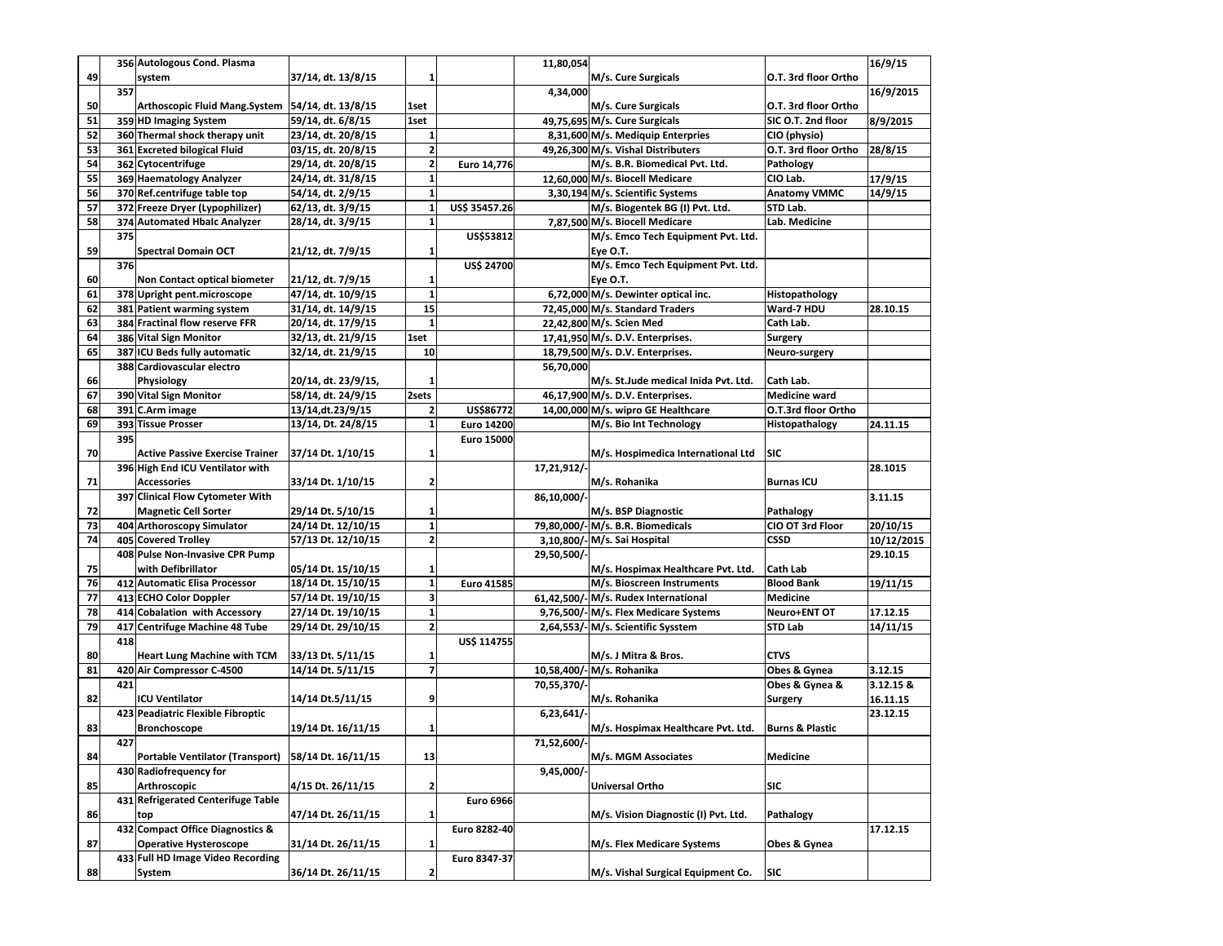|    |     | 356 Autologous Cond. Plasma            |                     |                          |                   | 11,80,054   |                                      |                            | 16/9/15    |
|----|-----|----------------------------------------|---------------------|--------------------------|-------------------|-------------|--------------------------------------|----------------------------|------------|
| 49 |     | system                                 | 37/14, dt. 13/8/15  | 1                        |                   |             | M/s. Cure Surgicals                  | O.T. 3rd floor Ortho       |            |
|    | 357 |                                        |                     |                          |                   | 4,34,000    |                                      |                            | 16/9/2015  |
| 50 |     | <b>Arthoscopic Fluid Mang.System</b>   | 54/14, dt. 13/8/15  | 1set                     |                   |             | M/s. Cure Surgicals                  | O.T. 3rd floor Ortho       |            |
| 51 |     | 359 HD Imaging System                  | 59/14, dt. 6/8/15   | 1set                     |                   |             | 49,75,695 M/s. Cure Surgicals        | SIC O.T. 2nd floor         | 8/9/2015   |
| 52 |     | 360 Thermal shock therapy unit         | 23/14, dt. 20/8/15  | 1                        |                   |             | 8,31,600 M/s. Mediquip Enterpries    | CIO (physio)               |            |
| 53 |     | 361 Excreted bilogical Fluid           | 03/15, dt. 20/8/15  | $\overline{\mathbf{2}}$  |                   |             | 49,26,300 M/s. Vishal Distributers   | O.T. 3rd floor Ortho       | 28/8/15    |
| 54 |     | 362 Cytocentrifuge                     | 29/14, dt. 20/8/15  | 2                        | Euro 14,776       |             | M/s. B.R. Biomedical Pvt. Ltd.       | Pathology                  |            |
| 55 |     | 369 Haematology Analyzer               | 24/14, dt. 31/8/15  | $\mathbf{1}$             |                   |             | 12,60,000 M/s. Biocell Medicare      | CIO Lab.                   | 17/9/15    |
| 56 |     | 370 Ref.centrifuge table top           | 54/14, dt. 2/9/15   | $\mathbf 1$              |                   |             | 3,30,194 M/s. Scientific Systems     | <b>Anatomy VMMC</b>        | 14/9/15    |
| 57 |     | 372 Freeze Dryer (Lypophilizer)        | 62/13, dt. 3/9/15   | $\mathbf{1}$             | US\$ 35457.26     |             | M/s. Biogentek BG (I) Pvt. Ltd.      | STD Lab.                   |            |
| 58 |     | 374 Automated Hbalc Analyzer           | 28/14, dt. 3/9/15   | $\mathbf 1$              |                   |             | 7,87,500 M/s. Biocell Medicare       | Lab. Medicine              |            |
|    | 375 |                                        |                     |                          | US\$53812         |             | M/s. Emco Tech Equipment Pvt. Ltd.   |                            |            |
| 59 |     | <b>Spectral Domain OCT</b>             | 21/12, dt. 7/9/15   | 1                        |                   |             | Eye O.T.                             |                            |            |
|    | 376 |                                        |                     |                          | <b>US\$ 24700</b> |             | M/s. Emco Tech Equipment Pvt. Ltd.   |                            |            |
| 60 |     | Non Contact optical biometer           | 21/12, dt. 7/9/15   | 1                        |                   |             | Eye O.T.                             |                            |            |
| 61 |     | 378 Upright pent.microscope            | 47/14, dt. 10/9/15  | $\mathbf 1$              |                   |             | 6,72,000 M/s. Dewinter optical inc.  | Histopathology             |            |
| 62 |     | 381 Patient warming system             | 31/14, dt. 14/9/15  | 15                       |                   |             | 72,45,000 M/s. Standard Traders      | Ward-7 HDU                 | 28.10.15   |
| 63 |     | 384 Fractinal flow reserve FFR         | 20/14, dt. 17/9/15  | ${\bf 1}$                |                   |             | 22,42,800 M/s. Scien Med             | Cath Lab.                  |            |
| 64 |     | 386 Vital Sign Monitor                 | 32/13, dt. 21/9/15  | 1set                     |                   |             | 17,41,950 M/s. D.V. Enterprises.     | <b>Surgery</b>             |            |
| 65 |     | 387 ICU Beds fully automatic           | 32/14, dt. 21/9/15  | 10                       |                   |             | 18,79,500 M/s. D.V. Enterprises.     | Neuro-surgery              |            |
|    |     | 388 Cardiovascular electro             |                     |                          |                   | 56,70,000   |                                      |                            |            |
| 66 |     | Physiology                             | 20/14, dt. 23/9/15, | 1                        |                   |             | M/s. St.Jude medical Inida Pvt. Ltd. | Cath Lab.                  |            |
| 67 |     | 390 Vital Sign Monitor                 | 58/14, dt. 24/9/15  | 2sets                    |                   |             | 46.17.900 M/s. D.V. Enterprises.     | <b>Medicine ward</b>       |            |
| 68 |     | 391 C.Arm image                        | 13/14, dt. 23/9/15  | 2                        | US\$86772         |             | 14,00,000 M/s. wipro GE Healthcare   | O.T.3rd floor Ortho        |            |
| 69 |     | 393 Tissue Prosser                     | 13/14, Dt. 24/8/15  | 1                        | <b>Euro 14200</b> |             | M/s. Bio Int Technology              | Histopathalogy             | 24.11.15   |
|    | 395 |                                        |                     |                          | Euro 15000        |             |                                      |                            |            |
| 70 |     | <b>Active Passive Exercise Trainer</b> | 37/14 Dt. 1/10/15   | 1                        |                   |             | M/s. Hospimedica International Ltd   | SIC                        |            |
|    |     | 396 High End ICU Ventilator with       |                     |                          |                   | 17,21,912/- |                                      |                            | 28.1015    |
| 71 |     | <b>Accessories</b>                     | 33/14 Dt. 1/10/15   | 2                        |                   |             | M/s. Rohanika                        | <b>Burnas ICU</b>          |            |
|    |     | 397 Clinical Flow Cytometer With       |                     |                          |                   | 86,10,000/  |                                      |                            | 3.11.15    |
| 72 |     | <b>Magnetic Cell Sorter</b>            | 29/14 Dt. 5/10/15   | 1                        |                   |             | M/s. BSP Diagnostic                  | Pathalogy                  |            |
| 73 |     | 404 Arthoroscopy Simulator             | 24/14 Dt. 12/10/15  | $\mathbf 1$              |                   |             | 79,80,000/-M/s. B.R. Biomedicals     | CIO OT 3rd Floor           | 20/10/15   |
| 74 |     | 405 Covered Trolley                    | 57/13 Dt. 12/10/15  | 2                        |                   |             | 3,10,800/- M/s. Sai Hospital         | <b>CSSD</b>                | 10/12/2015 |
|    |     | 408 Pulse Non-Invasive CPR Pump        |                     |                          |                   | 29,50,500/  |                                      |                            | 29.10.15   |
| 75 |     | with Defibrillator                     | 05/14 Dt. 15/10/15  | 1                        |                   |             | M/s. Hospimax Healthcare Pvt. Ltd.   | Cath Lab                   |            |
| 76 |     | 412 Automatic Elisa Processor          | 18/14 Dt. 15/10/15  | $\mathbf 1$              | <b>Euro 41585</b> |             | M/s. Bioscreen Instruments           | <b>Blood Bank</b>          | 19/11/15   |
| 77 |     | 413 ECHO Color Doppler                 | 57/14 Dt. 19/10/15  | 3                        |                   |             | 61,42,500/-M/s. Rudex International  | <b>Medicine</b>            |            |
| 78 |     | 414 Cobalation with Accessory          | 27/14 Dt. 19/10/15  | $\mathbf{1}$             |                   |             | 9,76,500/-M/s. Flex Medicare Systems | Neuro+ENT OT               | 17.12.15   |
| 79 |     | 417 Centrifuge Machine 48 Tube         | 29/14 Dt. 29/10/15  | $\mathbf 2$              |                   |             | 2,64,553/- M/s. Scientific Sysstem   | <b>STD Lab</b>             | 14/11/15   |
|    | 418 |                                        |                     |                          | US\$ 114755       |             |                                      |                            |            |
| 80 |     | <b>Heart Lung Machine with TCM</b>     | 33/13 Dt. 5/11/15   | 1                        |                   |             | M/s. J Mitra & Bros.                 | <b>CTVS</b>                |            |
| 81 |     | 420 Air Compressor C-4500              | 14/14 Dt. 5/11/15   | $\overline{\phantom{a}}$ |                   |             | 10,58,400/-M/s. Rohanika             | Obes & Gynea               | 3.12.15    |
|    | 421 |                                        |                     |                          |                   | 70,55,370/  |                                      | Obes & Gynea &             | 3.12.15 &  |
| 82 |     | <b>ICU Ventilator</b>                  | 14/14 Dt.5/11/15    | 9                        |                   |             | M/s. Rohanika                        | Surgery                    | 16.11.15   |
|    |     | 423 Peadiatric Flexible Fibroptic      |                     |                          |                   | 6,23,641/   |                                      |                            | 23.12.15   |
| 83 |     | <b>Bronchoscope</b>                    | 19/14 Dt. 16/11/15  | 1                        |                   |             | M/s. Hospimax Healthcare Pvt. Ltd.   | <b>Burns &amp; Plastic</b> |            |
|    | 427 |                                        |                     |                          |                   | 71,52,600/- |                                      |                            |            |
| 84 |     | Portable Ventilator (Transport)        | 58/14 Dt. 16/11/15  | 13                       |                   |             | M/s. MGM Associates                  | <b>Medicine</b>            |            |
|    |     | 430 Radiofrequency for                 |                     |                          |                   | 9,45,000/   |                                      |                            |            |
| 85 |     | Arthroscopic                           | 4/15 Dt. 26/11/15   | 2                        |                   |             | Universal Ortho                      | SIC                        |            |
|    |     | 431 Refrigerated Centerifuge Table     |                     |                          | <b>Euro 6966</b>  |             |                                      |                            |            |
| 86 |     | top                                    | 47/14 Dt. 26/11/15  | 1                        |                   |             | M/s. Vision Diagnostic (I) Pvt. Ltd. | Pathalogy                  |            |
|    |     | 432 Compact Office Diagnostics &       |                     |                          | Euro 8282-40      |             |                                      |                            | 17.12.15   |
| 87 |     | <b>Operative Hysteroscope</b>          | 31/14 Dt. 26/11/15  | 1                        |                   |             | M/s. Flex Medicare Systems           | Obes & Gynea               |            |
|    |     | 433 Full HD Image Video Recording      |                     |                          | Euro 8347-37      |             |                                      |                            |            |
| 88 |     | System                                 | 36/14 Dt. 26/11/15  | 2                        |                   |             | M/s. Vishal Surgical Equipment Co.   | SIC                        |            |
|    |     |                                        |                     |                          |                   |             |                                      |                            |            |